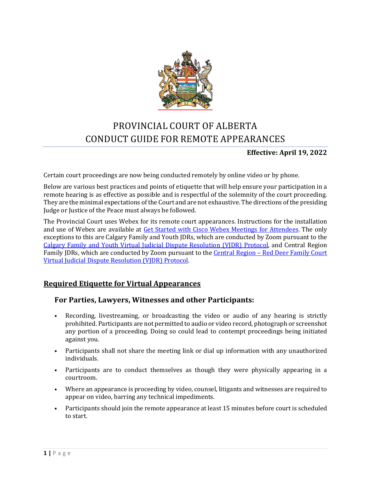

# PROVINCIAL COURT OF ALBERTA CONDUCT GUIDE FOR REMOTE APPEARANCES

### **Effective: April 19, 2022**

Certain court proceedings are now being conducted remotely by online video or by phone.

Below are various best practices and points of etiquette that will help ensure your participation in a remote hearing is as effective as possible and is respectful of the solemnity of the court proceeding. They are the minimal expectations of the Court and are not exhaustive. The directions of the presiding Judge or Justice of the Peace must always be followed.

The Provincial Court uses Webex for its remote court appearances. Instructions for the installation and use of Webex are available at [Get Started with Cisco Webex Meetings for Attendees.](https://help.webex.com/en-us/article/n3xx7vcb/Get-Started-with-Webex-App) The only exceptions to this are Calgary Family and Youth JDRs, which are conducted by Zoom pursuant to the [Calgary Family and Youth Virtual Judicial Dispute Resolution \(VJDR\) Protocol,](https://albertacourts.ca/docs/default-source/pc/calgary-f-y-virtual-judicial-dispute-resolution.pdf?sfvrsn=23b49380_7) and Central Region Family JDRs, which are conducted by Zoom pursuant to the Central Region - Red Deer Family Court [Virtual Judicial Dispute Resolution \(VJDR\) Protocol.](https://albertacourts.ca/docs/default-source/pc/central-region---red-deer-virtual-judicial-dispute-resolution-(vjdr)-protocol.pdf?sfvrsn=fa9c6183_2) 

### **Required Etiquette for Virtual Appearances**

#### **For Parties, Lawyers, Witnesses and other Participants:**

- Recording, livestreaming, or broadcasting the video or audio of any hearing is strictly prohibited. Participants are not permitted to audio or video record, photograph or screenshot any portion of a proceeding. Doing so could lead to contempt proceedings being initiated against you.
- Participants shall not share the meeting link or dial up information with any unauthorized individuals.
- Participants are to conduct themselves as though they were physically appearing in a courtroom.
- Where an appearance is proceeding by video, counsel, litigants and witnesses are required to appear on video, barring any technical impediments.
- Participants should join the remote appearance at least 15 minutes before court is scheduled to start.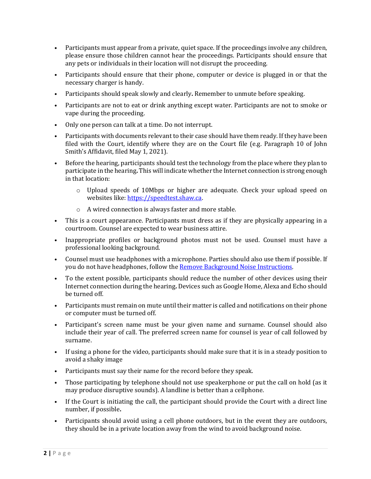- Participants must appear from a private, quiet space. If the proceedings involve any children, please ensure those children cannot hear the proceedings. Participants should ensure that any pets or individuals in their location will not disrupt the proceeding.
- Participants should ensure that their phone, computer or device is plugged in or that the necessary charger is handy.
- Participants should speak slowly and clearly**.** Remember to unmute before speaking.
- Participants are not to eat or drink anything except water. Participants are not to smoke or vape during the proceeding.
- Only one person can talk at a time. Do not interrupt.
- Participants with documents relevant to their case should have them ready. If they have been filed with the Court, identify where they are on the Court file (e.g. Paragraph 10 of John Smith's Affidavit, filed May 1, 2021).
- Before the hearing, participants should test the technology from the place where they plan to participate in the hearing**.** This will indicate whether the Internet connection is strong enough in that location:
	- o Upload speeds of 10Mbps or higher are adequate. Check your upload speed on websites like: [https://speedtest.shaw.ca.](https://speedtest.shaw.ca/)
	- o A wired connection is always faster and more stable.
- This is a court appearance. Participants must dress as if they are physically appearing in a courtroom. Counsel are expected to wear business attire.
- Inappropriate profiles or background photos must not be used. Counsel must have a professional looking background.
- Counsel must use headphones with a microphone. Parties should also use them if possible. If you do not have headphones, follow th[e Remove Background Noise Instructions.](https://albertacourts.ca/docs/default-source/pc/remove-background-noise-instructions.pdf?Status=Master&sfvrsn=ab247b83_3)
- To the extent possible, participants should reduce the number of other devices using their Internet connection during the hearing**.** Devices such as Google Home, Alexa and Echo should be turned off.
- Participants must remain on mute until their matter is called and notifications on their phone or computer must be turned off.
- Participant's screen name must be your given name and surname. Counsel should also include their year of call. The preferred screen name for counsel is year of call followed by surname.
- If using a phone for the video, participants should make sure that it is in a steady position to avoid a shaky image
- Participants must say their name for the record before they speak.
- Those participating by telephone should not use speakerphone or put the call on hold (as it may produce disruptive sounds). A landline is better than a cellphone.
- If the Court is initiating the call, the participant should provide the Court with a direct line number, if possible**.**
- Participants should avoid using a cell phone outdoors, but in the event they are outdoors, they should be in a private location away from the wind to avoid background noise.